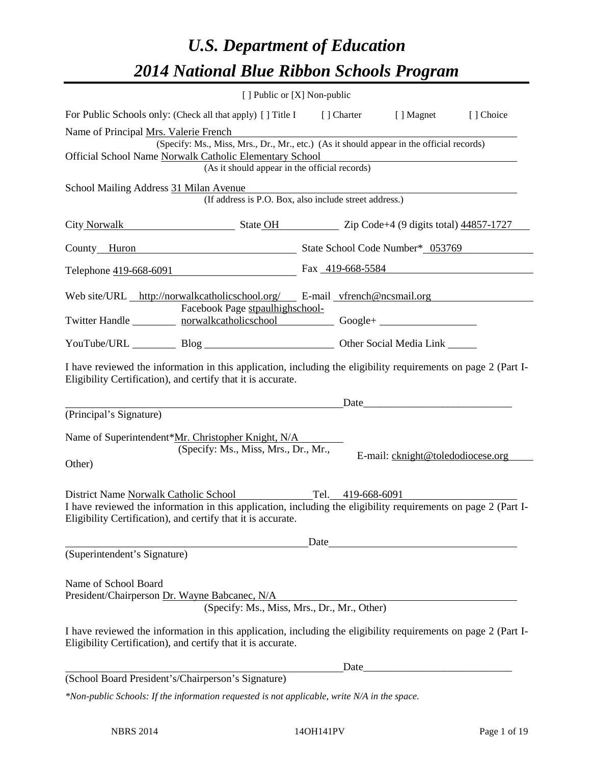# *U.S. Department of Education 2014 National Blue Ribbon Schools Program*

|                                        |                                                                                                                                                                                | [ ] Public or [X] Non-public |                                   |           |
|----------------------------------------|--------------------------------------------------------------------------------------------------------------------------------------------------------------------------------|------------------------------|-----------------------------------|-----------|
|                                        | For Public Schools only: (Check all that apply) [] Title I [] Charter [] Magnet                                                                                                |                              |                                   | [] Choice |
| Name of Principal Mrs. Valerie French  |                                                                                                                                                                                |                              |                                   |           |
|                                        | (Specify: Ms., Miss, Mrs., Dr., Mr., etc.) (As it should appear in the official records)                                                                                       |                              |                                   |           |
|                                        | Official School Name Norwalk Catholic Elementary School<br>(As it should appear in the official records)                                                                       |                              |                                   |           |
| School Mailing Address 31 Milan Avenue |                                                                                                                                                                                |                              |                                   |           |
|                                        | (If address is P.O. Box, also include street address.)                                                                                                                         |                              |                                   |           |
|                                        | City Norwalk State OH State OH Zip Code+4 (9 digits total) 44857-1727                                                                                                          |                              |                                   |           |
|                                        | County Huron State School Code Number* 053769                                                                                                                                  |                              |                                   |           |
|                                        | Telephone 419-668-6091                                                                                                                                                         | Fax 419-668-5584             |                                   |           |
|                                        | Web site/URL http://norwalkcatholicschool.org/ E-mail vfrench@ncsmail.org                                                                                                      |                              |                                   |           |
|                                        | Facebook Page stpaulhighschool-                                                                                                                                                |                              |                                   |           |
|                                        | Twitter Handle _________ norwalkcatholicschool __________ Google+ ______________                                                                                               |                              |                                   |           |
|                                        | YouTube/URL Blog Blog Cher Social Media Link                                                                                                                                   |                              |                                   |           |
|                                        | I have reviewed the information in this application, including the eligibility requirements on page 2 (Part I-<br>Eligibility Certification), and certify that it is accurate. |                              |                                   |           |
|                                        |                                                                                                                                                                                |                              | Date                              |           |
| (Principal's Signature)                |                                                                                                                                                                                |                              |                                   |           |
|                                        | Name of Superintendent*Mr. Christopher Knight, N/A                                                                                                                             |                              |                                   |           |
|                                        | (Specify: Ms., Miss, Mrs., Dr., Mr.,                                                                                                                                           |                              | E-mail: cknight@toledodiocese.org |           |
| Other)                                 |                                                                                                                                                                                |                              |                                   |           |
|                                        | District Name Norwalk Catholic School Tel. 419-668-6091                                                                                                                        |                              |                                   |           |
|                                        | I have reviewed the information in this application, including the eligibility requirements on page 2 (Part I-<br>Eligibility Certification), and certify that it is accurate. |                              |                                   |           |
|                                        |                                                                                                                                                                                | Date                         |                                   |           |
| (Superintendent's Signature)           |                                                                                                                                                                                |                              |                                   |           |
|                                        |                                                                                                                                                                                |                              |                                   |           |
| Name of School Board                   | President/Chairperson Dr. Wayne Babcanec, N/A                                                                                                                                  |                              |                                   |           |
|                                        | (Specify: Ms., Miss, Mrs., Dr., Mr., Other)                                                                                                                                    |                              |                                   |           |
|                                        | I have reviewed the information in this application, including the eligibility requirements on page 2 (Part I-<br>Eligibility Certification), and certify that it is accurate. |                              |                                   |           |
|                                        |                                                                                                                                                                                |                              |                                   |           |
|                                        | (School Board President's/Chairperson's Signature)                                                                                                                             |                              |                                   |           |
|                                        | $*$ Mon public Schools: If the information requested is not applicable write $N/A$ in the space                                                                                |                              |                                   |           |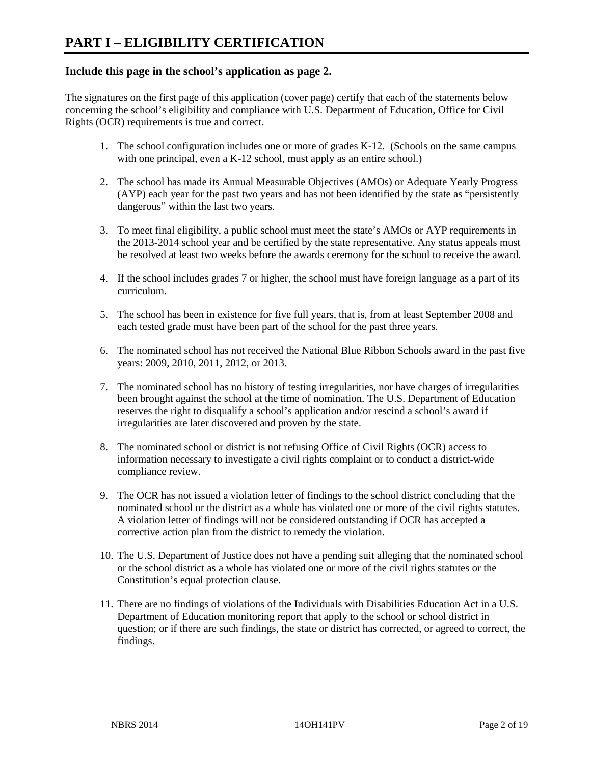### **Include this page in the school's application as page 2.**

The signatures on the first page of this application (cover page) certify that each of the statements below concerning the school's eligibility and compliance with U.S. Department of Education, Office for Civil Rights (OCR) requirements is true and correct.

- 1. The school configuration includes one or more of grades K-12. (Schools on the same campus with one principal, even a K-12 school, must apply as an entire school.)
- 2. The school has made its Annual Measurable Objectives (AMOs) or Adequate Yearly Progress (AYP) each year for the past two years and has not been identified by the state as "persistently dangerous" within the last two years.
- 3. To meet final eligibility, a public school must meet the state's AMOs or AYP requirements in the 2013-2014 school year and be certified by the state representative. Any status appeals must be resolved at least two weeks before the awards ceremony for the school to receive the award.
- 4. If the school includes grades 7 or higher, the school must have foreign language as a part of its curriculum.
- 5. The school has been in existence for five full years, that is, from at least September 2008 and each tested grade must have been part of the school for the past three years.
- 6. The nominated school has not received the National Blue Ribbon Schools award in the past five years: 2009, 2010, 2011, 2012, or 2013.
- 7. The nominated school has no history of testing irregularities, nor have charges of irregularities been brought against the school at the time of nomination. The U.S. Department of Education reserves the right to disqualify a school's application and/or rescind a school's award if irregularities are later discovered and proven by the state.
- 8. The nominated school or district is not refusing Office of Civil Rights (OCR) access to information necessary to investigate a civil rights complaint or to conduct a district-wide compliance review.
- 9. The OCR has not issued a violation letter of findings to the school district concluding that the nominated school or the district as a whole has violated one or more of the civil rights statutes. A violation letter of findings will not be considered outstanding if OCR has accepted a corrective action plan from the district to remedy the violation.
- 10. The U.S. Department of Justice does not have a pending suit alleging that the nominated school or the school district as a whole has violated one or more of the civil rights statutes or the Constitution's equal protection clause.
- 11. There are no findings of violations of the Individuals with Disabilities Education Act in a U.S. Department of Education monitoring report that apply to the school or school district in question; or if there are such findings, the state or district has corrected, or agreed to correct, the findings.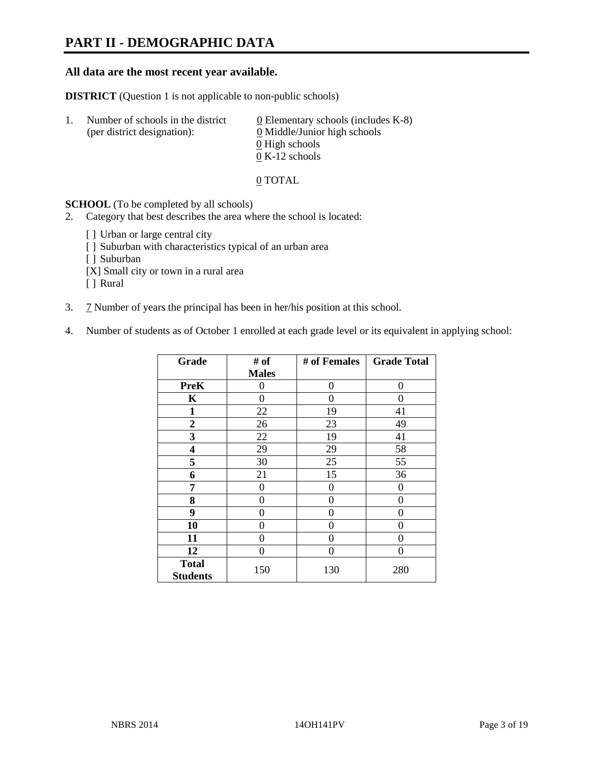# **PART II - DEMOGRAPHIC DATA**

#### **All data are the most recent year available.**

**DISTRICT** (Question 1 is not applicable to non-public schools)

| $\mathbf{L}$ | Number of schools in the district<br>(per district designation): | 0 Elementary schools (includes $K-8$ )<br>0 Middle/Junior high schools |
|--------------|------------------------------------------------------------------|------------------------------------------------------------------------|
|              |                                                                  | 0 High schools                                                         |
|              |                                                                  | $0 K-12$ schools                                                       |

#### 0 TOTAL

#### **SCHOOL** (To be completed by all schools)

- 2. Category that best describes the area where the school is located:
	- [] Urban or large central city
	- [ ] Suburban with characteristics typical of an urban area
	- [ ] Suburban
	- [X] Small city or town in a rural area
	- [ ] Rural
- 3. 7 Number of years the principal has been in her/his position at this school.
- 4. Number of students as of October 1 enrolled at each grade level or its equivalent in applying school:

| Grade                           | # of         | # of Females | <b>Grade Total</b> |
|---------------------------------|--------------|--------------|--------------------|
|                                 | <b>Males</b> |              |                    |
| <b>PreK</b>                     | 0            | 0            | $\theta$           |
| K                               | 0            | $\Omega$     | $\theta$           |
| 1                               | 22           | 19           | 41                 |
| 2                               | 26           | 23           | 49                 |
| 3                               | 22           | 19           | 41                 |
| 4                               | 29           | 29           | 58                 |
| 5                               | 30           | 25           | 55                 |
| 6                               | 21           | 15           | 36                 |
| 7                               | 0            | 0            | $\theta$           |
| 8                               | 0            | 0            | 0                  |
| 9                               | 0            | 0            | 0                  |
| 10                              | 0            | 0            | 0                  |
| 11                              | 0            | $\Omega$     | 0                  |
| 12                              | 0            | 0            | 0                  |
| <b>Total</b><br><b>Students</b> | 150          | 130          | 280                |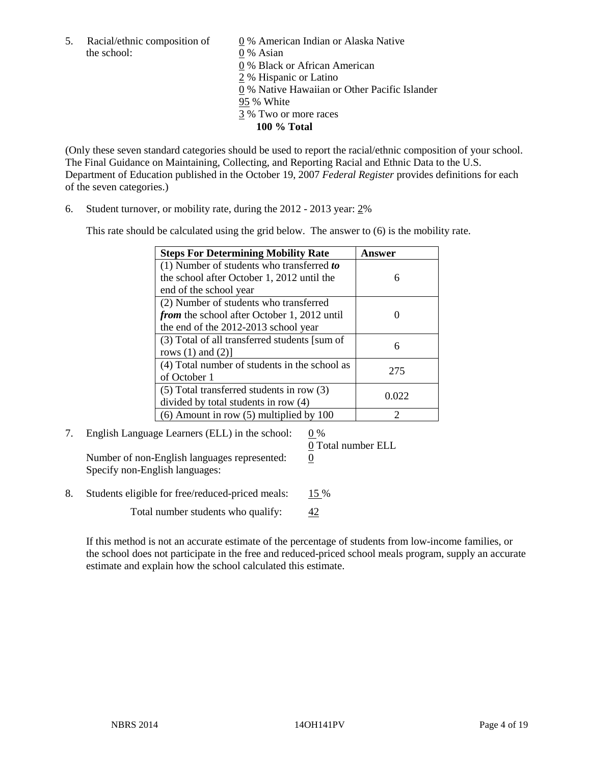5. Racial/ethnic composition of  $\qquad \qquad \underline{0}$  % American Indian or Alaska Native the school: 0 % Asian

 0 % Black or African American 2 % Hispanic or Latino 0 % Native Hawaiian or Other Pacific Islander 95 % White 3 % Two or more races **100 % Total** 

(Only these seven standard categories should be used to report the racial/ethnic composition of your school. The Final Guidance on Maintaining, Collecting, and Reporting Racial and Ethnic Data to the U.S. Department of Education published in the October 19, 2007 *Federal Register* provides definitions for each of the seven categories.)

6. Student turnover, or mobility rate, during the 2012 - 2013 year: 2%

This rate should be calculated using the grid below. The answer to (6) is the mobility rate.

| <b>Steps For Determining Mobility Rate</b>         | Answer |
|----------------------------------------------------|--------|
| (1) Number of students who transferred to          |        |
| the school after October 1, 2012 until the         | 6      |
| end of the school year                             |        |
| (2) Number of students who transferred             |        |
| <i>from</i> the school after October 1, 2012 until |        |
| the end of the 2012-2013 school year               |        |
| (3) Total of all transferred students [sum of      | 6      |
| rows $(1)$ and $(2)$ ]                             |        |
| (4) Total number of students in the school as      | 275    |
| of October 1                                       |        |
| $(5)$ Total transferred students in row $(3)$      |        |
| divided by total students in row (4)               | 0.022  |
| $(6)$ Amount in row $(5)$ multiplied by 100        |        |

7. English Language Learners (ELL) in the school: 0 %

Number of non-English languages represented: 0 Specify non-English languages:

0 Total number ELL

8. Students eligible for free/reduced-priced meals: 15 %

Total number students who qualify:  $\frac{42}{5}$ 

If this method is not an accurate estimate of the percentage of students from low-income families, or the school does not participate in the free and reduced-priced school meals program, supply an accurate estimate and explain how the school calculated this estimate.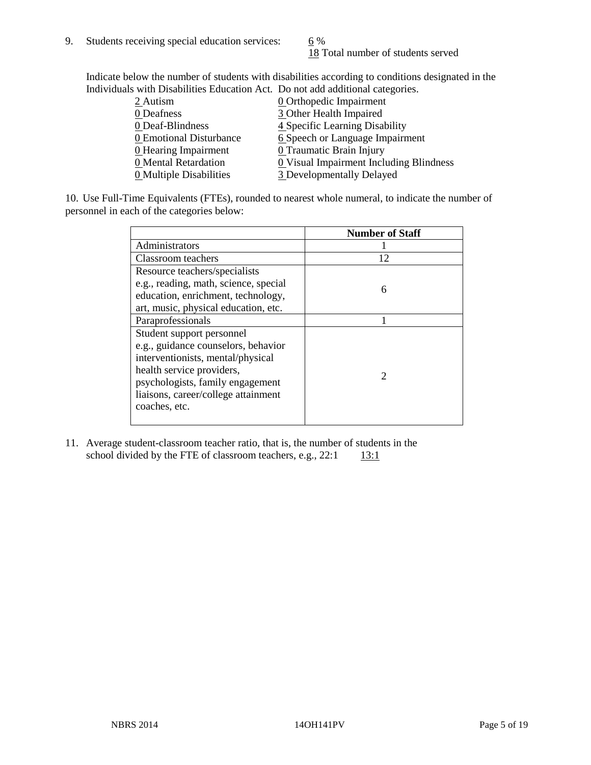18 Total number of students served

Indicate below the number of students with disabilities according to conditions designated in the Individuals with Disabilities Education Act. Do not add additional categories.

| <u>martically trial Disachities Buaealon ried. Do not auu auuritonal eale conest</u> |                                                |
|--------------------------------------------------------------------------------------|------------------------------------------------|
| 2 Autism                                                                             | <b>0</b> Orthopedic Impairment                 |
| 0 Deafness                                                                           | 3 Other Health Impaired                        |
| 0 Deaf-Blindness                                                                     | 4 Specific Learning Disability                 |
| 0 Emotional Disturbance                                                              | 6 Speech or Language Impairment                |
| <b>0</b> Hearing Impairment                                                          | 0 Traumatic Brain Injury                       |
| 0 Mental Retardation                                                                 | <b>0</b> Visual Impairment Including Blindness |
| 0 Multiple Disabilities                                                              | 3 Developmentally Delayed                      |
|                                                                                      |                                                |

10. Use Full-Time Equivalents (FTEs), rounded to nearest whole numeral, to indicate the number of personnel in each of the categories below:

|                                       | <b>Number of Staff</b>      |
|---------------------------------------|-----------------------------|
| Administrators                        |                             |
| Classroom teachers                    | 12                          |
| Resource teachers/specialists         |                             |
| e.g., reading, math, science, special | 6                           |
| education, enrichment, technology,    |                             |
| art, music, physical education, etc.  |                             |
| Paraprofessionals                     |                             |
| Student support personnel             |                             |
| e.g., guidance counselors, behavior   |                             |
| interventionists, mental/physical     |                             |
| health service providers,             | $\mathcal{D}_{\mathcal{L}}$ |
| psychologists, family engagement      |                             |
| liaisons, career/college attainment   |                             |
| coaches, etc.                         |                             |
|                                       |                             |

11. Average student-classroom teacher ratio, that is, the number of students in the school divided by the FTE of classroom teachers, e.g.,  $22:1$  13:1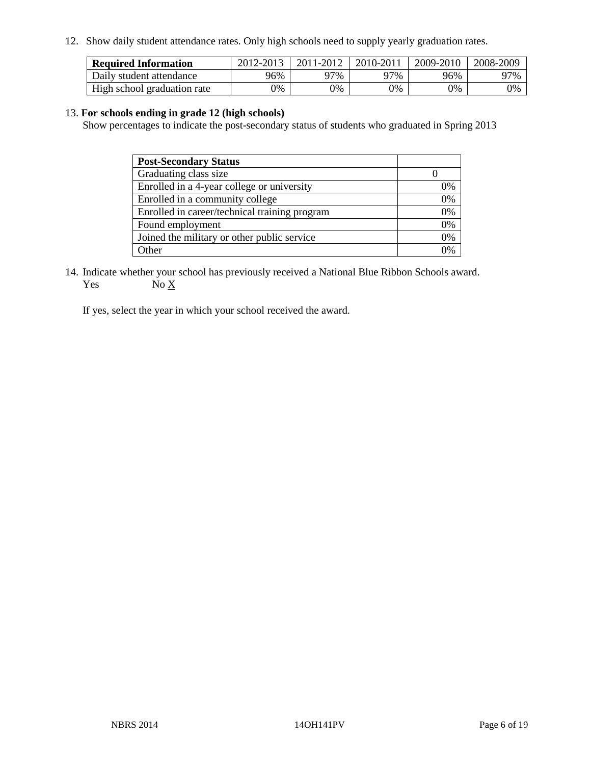12. Show daily student attendance rates. Only high schools need to supply yearly graduation rates.

| <b>Required Information</b> | 2012-2013 | 2011-2012 | 2010-2011 | 2009-2010 | 2008-2009 |
|-----------------------------|-----------|-----------|-----------|-----------|-----------|
| Daily student attendance    | 96%       | ን7%       | 77%       | 96%       | 97%       |
| High school graduation rate | 9%        | 0%        | 0%        | 0%        | 0%        |

#### 13. **For schools ending in grade 12 (high schools)**

Show percentages to indicate the post-secondary status of students who graduated in Spring 2013

| <b>Post-Secondary Status</b>                  |    |
|-----------------------------------------------|----|
| Graduating class size                         |    |
| Enrolled in a 4-year college or university    | 0% |
| Enrolled in a community college               | 0% |
| Enrolled in career/technical training program | 0% |
| Found employment                              | 0% |
| Joined the military or other public service   | 0% |
| . Other                                       | 0/ |

14. Indicate whether your school has previously received a National Blue Ribbon Schools award. Yes  $No \underline{X}$ 

If yes, select the year in which your school received the award.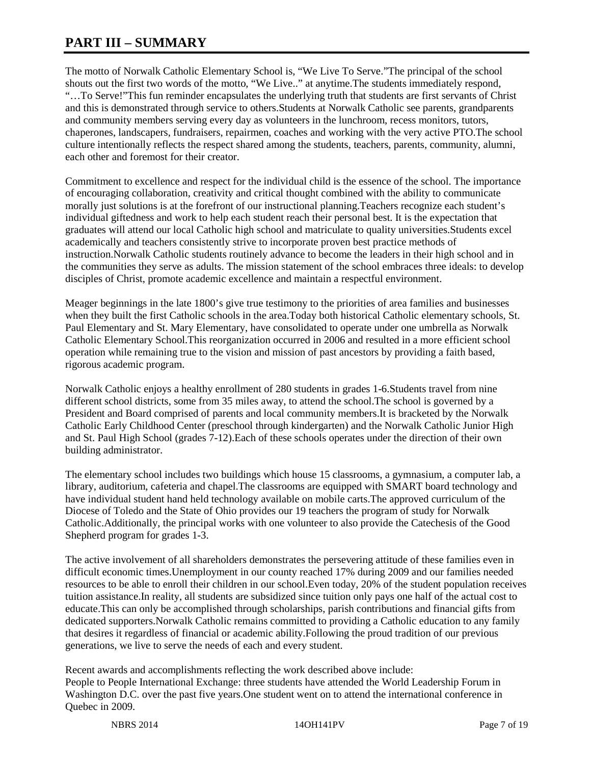# **PART III – SUMMARY**

The motto of Norwalk Catholic Elementary School is, "We Live To Serve."The principal of the school shouts out the first two words of the motto, "We Live.." at anytime.The students immediately respond, "…To Serve!"This fun reminder encapsulates the underlying truth that students are first servants of Christ and this is demonstrated through service to others.Students at Norwalk Catholic see parents, grandparents and community members serving every day as volunteers in the lunchroom, recess monitors, tutors, chaperones, landscapers, fundraisers, repairmen, coaches and working with the very active PTO.The school culture intentionally reflects the respect shared among the students, teachers, parents, community, alumni, each other and foremost for their creator.

Commitment to excellence and respect for the individual child is the essence of the school. The importance of encouraging collaboration, creativity and critical thought combined with the ability to communicate morally just solutions is at the forefront of our instructional planning.Teachers recognize each student's individual giftedness and work to help each student reach their personal best. It is the expectation that graduates will attend our local Catholic high school and matriculate to quality universities.Students excel academically and teachers consistently strive to incorporate proven best practice methods of instruction.Norwalk Catholic students routinely advance to become the leaders in their high school and in the communities they serve as adults. The mission statement of the school embraces three ideals: to develop disciples of Christ, promote academic excellence and maintain a respectful environment.

Meager beginnings in the late 1800's give true testimony to the priorities of area families and businesses when they built the first Catholic schools in the area.Today both historical Catholic elementary schools, St. Paul Elementary and St. Mary Elementary, have consolidated to operate under one umbrella as Norwalk Catholic Elementary School.This reorganization occurred in 2006 and resulted in a more efficient school operation while remaining true to the vision and mission of past ancestors by providing a faith based, rigorous academic program.

Norwalk Catholic enjoys a healthy enrollment of 280 students in grades 1-6.Students travel from nine different school districts, some from 35 miles away, to attend the school.The school is governed by a President and Board comprised of parents and local community members.It is bracketed by the Norwalk Catholic Early Childhood Center (preschool through kindergarten) and the Norwalk Catholic Junior High and St. Paul High School (grades 7-12).Each of these schools operates under the direction of their own building administrator.

The elementary school includes two buildings which house 15 classrooms, a gymnasium, a computer lab, a library, auditorium, cafeteria and chapel.The classrooms are equipped with SMART board technology and have individual student hand held technology available on mobile carts.The approved curriculum of the Diocese of Toledo and the State of Ohio provides our 19 teachers the program of study for Norwalk Catholic.Additionally, the principal works with one volunteer to also provide the Catechesis of the Good Shepherd program for grades 1-3.

The active involvement of all shareholders demonstrates the persevering attitude of these families even in difficult economic times.Unemployment in our county reached 17% during 2009 and our families needed resources to be able to enroll their children in our school.Even today, 20% of the student population receives tuition assistance.In reality, all students are subsidized since tuition only pays one half of the actual cost to educate.This can only be accomplished through scholarships, parish contributions and financial gifts from dedicated supporters.Norwalk Catholic remains committed to providing a Catholic education to any family that desires it regardless of financial or academic ability.Following the proud tradition of our previous generations, we live to serve the needs of each and every student.

Recent awards and accomplishments reflecting the work described above include: People to People International Exchange: three students have attended the World Leadership Forum in Washington D.C. over the past five years.One student went on to attend the international conference in Quebec in 2009.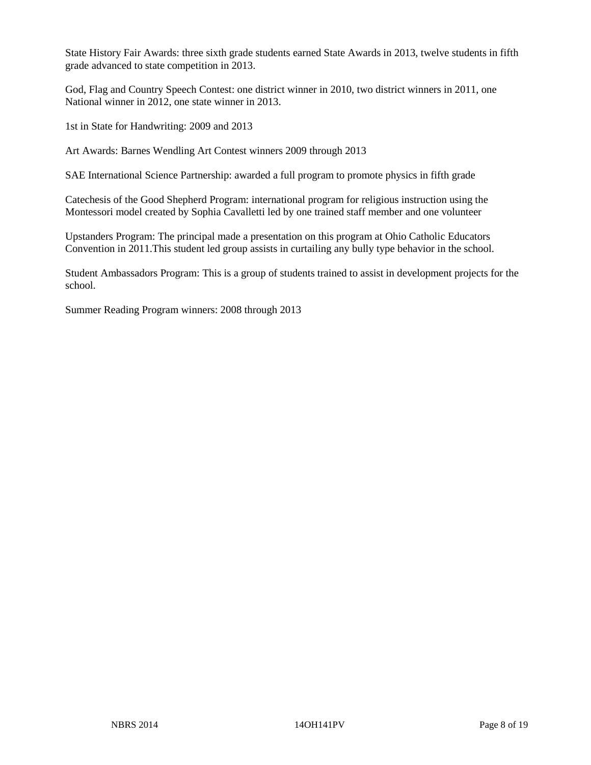State History Fair Awards: three sixth grade students earned State Awards in 2013, twelve students in fifth grade advanced to state competition in 2013.

God, Flag and Country Speech Contest: one district winner in 2010, two district winners in 2011, one National winner in 2012, one state winner in 2013.

1st in State for Handwriting: 2009 and 2013

Art Awards: Barnes Wendling Art Contest winners 2009 through 2013

SAE International Science Partnership: awarded a full program to promote physics in fifth grade

Catechesis of the Good Shepherd Program: international program for religious instruction using the Montessori model created by Sophia Cavalletti led by one trained staff member and one volunteer

Upstanders Program: The principal made a presentation on this program at Ohio Catholic Educators Convention in 2011.This student led group assists in curtailing any bully type behavior in the school.

Student Ambassadors Program: This is a group of students trained to assist in development projects for the school.

Summer Reading Program winners: 2008 through 2013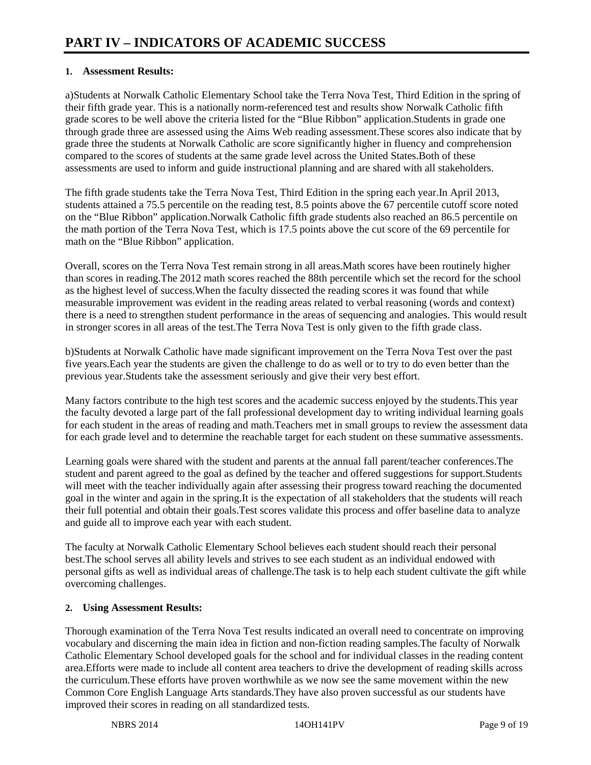#### **1. Assessment Results:**

a)Students at Norwalk Catholic Elementary School take the Terra Nova Test, Third Edition in the spring of their fifth grade year. This is a nationally norm-referenced test and results show Norwalk Catholic fifth grade scores to be well above the criteria listed for the "Blue Ribbon" application.Students in grade one through grade three are assessed using the Aims Web reading assessment.These scores also indicate that by grade three the students at Norwalk Catholic are score significantly higher in fluency and comprehension compared to the scores of students at the same grade level across the United States. Both of these assessments are used to inform and guide instructional planning and are shared with all stakeholders.

The fifth grade students take the Terra Nova Test, Third Edition in the spring each year.In April 2013, students attained a 75.5 percentile on the reading test, 8.5 points above the 67 percentile cutoff score noted on the "Blue Ribbon" application.Norwalk Catholic fifth grade students also reached an 86.5 percentile on the math portion of the Terra Nova Test, which is 17.5 points above the cut score of the 69 percentile for math on the "Blue Ribbon" application.

Overall, scores on the Terra Nova Test remain strong in all areas.Math scores have been routinely higher than scores in reading.The 2012 math scores reached the 88th percentile which set the record for the school as the highest level of success.When the faculty dissected the reading scores it was found that while measurable improvement was evident in the reading areas related to verbal reasoning (words and context) there is a need to strengthen student performance in the areas of sequencing and analogies. This would result in stronger scores in all areas of the test.The Terra Nova Test is only given to the fifth grade class.

b)Students at Norwalk Catholic have made significant improvement on the Terra Nova Test over the past five years.Each year the students are given the challenge to do as well or to try to do even better than the previous year.Students take the assessment seriously and give their very best effort.

Many factors contribute to the high test scores and the academic success enjoyed by the students.This year the faculty devoted a large part of the fall professional development day to writing individual learning goals for each student in the areas of reading and math.Teachers met in small groups to review the assessment data for each grade level and to determine the reachable target for each student on these summative assessments.

Learning goals were shared with the student and parents at the annual fall parent/teacher conferences. The student and parent agreed to the goal as defined by the teacher and offered suggestions for support. Students will meet with the teacher individually again after assessing their progress toward reaching the documented goal in the winter and again in the spring.It is the expectation of all stakeholders that the students will reach their full potential and obtain their goals.Test scores validate this process and offer baseline data to analyze and guide all to improve each year with each student.

The faculty at Norwalk Catholic Elementary School believes each student should reach their personal best.The school serves all ability levels and strives to see each student as an individual endowed with personal gifts as well as individual areas of challenge.The task is to help each student cultivate the gift while overcoming challenges.

#### **2. Using Assessment Results:**

Thorough examination of the Terra Nova Test results indicated an overall need to concentrate on improving vocabulary and discerning the main idea in fiction and non-fiction reading samples.The faculty of Norwalk Catholic Elementary School developed goals for the school and for individual classes in the reading content area.Efforts were made to include all content area teachers to drive the development of reading skills across the curriculum.These efforts have proven worthwhile as we now see the same movement within the new Common Core English Language Arts standards.They have also proven successful as our students have improved their scores in reading on all standardized tests.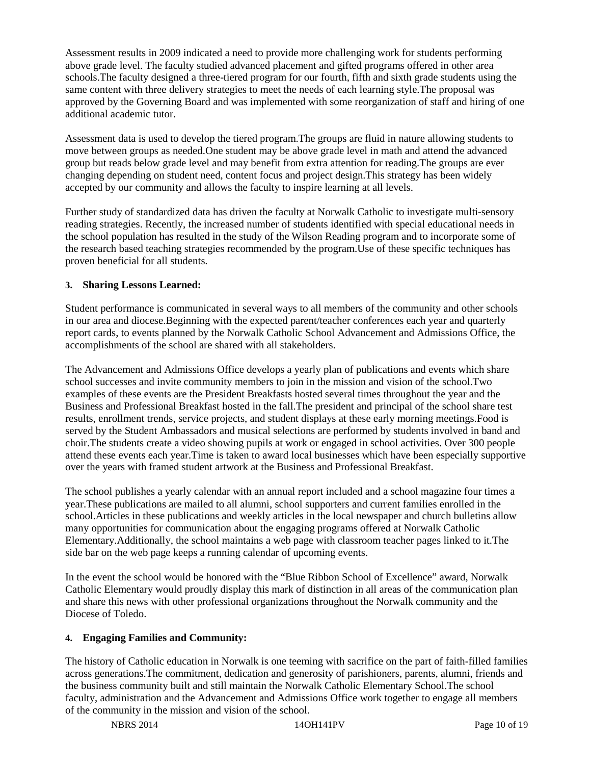Assessment results in 2009 indicated a need to provide more challenging work for students performing above grade level. The faculty studied advanced placement and gifted programs offered in other area schools.The faculty designed a three-tiered program for our fourth, fifth and sixth grade students using the same content with three delivery strategies to meet the needs of each learning style.The proposal was approved by the Governing Board and was implemented with some reorganization of staff and hiring of one additional academic tutor.

Assessment data is used to develop the tiered program.The groups are fluid in nature allowing students to move between groups as needed.One student may be above grade level in math and attend the advanced group but reads below grade level and may benefit from extra attention for reading.The groups are ever changing depending on student need, content focus and project design.This strategy has been widely accepted by our community and allows the faculty to inspire learning at all levels.

Further study of standardized data has driven the faculty at Norwalk Catholic to investigate multi-sensory reading strategies. Recently, the increased number of students identified with special educational needs in the school population has resulted in the study of the Wilson Reading program and to incorporate some of the research based teaching strategies recommended by the program.Use of these specific techniques has proven beneficial for all students.

#### **3. Sharing Lessons Learned:**

Student performance is communicated in several ways to all members of the community and other schools in our area and diocese.Beginning with the expected parent/teacher conferences each year and quarterly report cards, to events planned by the Norwalk Catholic School Advancement and Admissions Office, the accomplishments of the school are shared with all stakeholders.

The Advancement and Admissions Office develops a yearly plan of publications and events which share school successes and invite community members to join in the mission and vision of the school.Two examples of these events are the President Breakfasts hosted several times throughout the year and the Business and Professional Breakfast hosted in the fall.The president and principal of the school share test results, enrollment trends, service projects, and student displays at these early morning meetings.Food is served by the Student Ambassadors and musical selections are performed by students involved in band and choir.The students create a video showing pupils at work or engaged in school activities. Over 300 people attend these events each year.Time is taken to award local businesses which have been especially supportive over the years with framed student artwork at the Business and Professional Breakfast.

The school publishes a yearly calendar with an annual report included and a school magazine four times a year.These publications are mailed to all alumni, school supporters and current families enrolled in the school.Articles in these publications and weekly articles in the local newspaper and church bulletins allow many opportunities for communication about the engaging programs offered at Norwalk Catholic Elementary.Additionally, the school maintains a web page with classroom teacher pages linked to it.The side bar on the web page keeps a running calendar of upcoming events.

In the event the school would be honored with the "Blue Ribbon School of Excellence" award, Norwalk Catholic Elementary would proudly display this mark of distinction in all areas of the communication plan and share this news with other professional organizations throughout the Norwalk community and the Diocese of Toledo.

#### **4. Engaging Families and Community:**

The history of Catholic education in Norwalk is one teeming with sacrifice on the part of faith-filled families across generations.The commitment, dedication and generosity of parishioners, parents, alumni, friends and the business community built and still maintain the Norwalk Catholic Elementary School.The school faculty, administration and the Advancement and Admissions Office work together to engage all members of the community in the mission and vision of the school.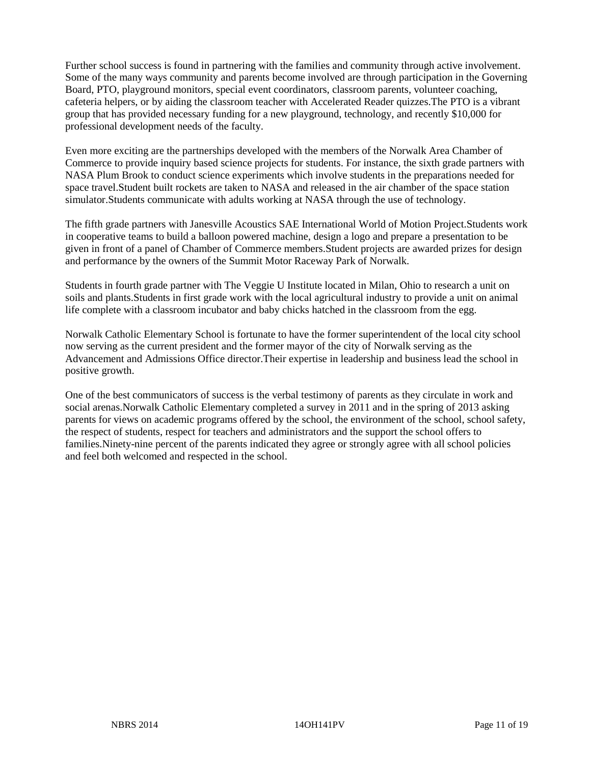Further school success is found in partnering with the families and community through active involvement. Some of the many ways community and parents become involved are through participation in the Governing Board, PTO, playground monitors, special event coordinators, classroom parents, volunteer coaching, cafeteria helpers, or by aiding the classroom teacher with Accelerated Reader quizzes.The PTO is a vibrant group that has provided necessary funding for a new playground, technology, and recently \$10,000 for professional development needs of the faculty.

Even more exciting are the partnerships developed with the members of the Norwalk Area Chamber of Commerce to provide inquiry based science projects for students. For instance, the sixth grade partners with NASA Plum Brook to conduct science experiments which involve students in the preparations needed for space travel.Student built rockets are taken to NASA and released in the air chamber of the space station simulator.Students communicate with adults working at NASA through the use of technology.

The fifth grade partners with Janesville Acoustics SAE International World of Motion Project.Students work in cooperative teams to build a balloon powered machine, design a logo and prepare a presentation to be given in front of a panel of Chamber of Commerce members.Student projects are awarded prizes for design and performance by the owners of the Summit Motor Raceway Park of Norwalk.

Students in fourth grade partner with The Veggie U Institute located in Milan, Ohio to research a unit on soils and plants.Students in first grade work with the local agricultural industry to provide a unit on animal life complete with a classroom incubator and baby chicks hatched in the classroom from the egg.

Norwalk Catholic Elementary School is fortunate to have the former superintendent of the local city school now serving as the current president and the former mayor of the city of Norwalk serving as the Advancement and Admissions Office director.Their expertise in leadership and business lead the school in positive growth.

One of the best communicators of success is the verbal testimony of parents as they circulate in work and social arenas.Norwalk Catholic Elementary completed a survey in 2011 and in the spring of 2013 asking parents for views on academic programs offered by the school, the environment of the school, school safety, the respect of students, respect for teachers and administrators and the support the school offers to families.Ninety-nine percent of the parents indicated they agree or strongly agree with all school policies and feel both welcomed and respected in the school.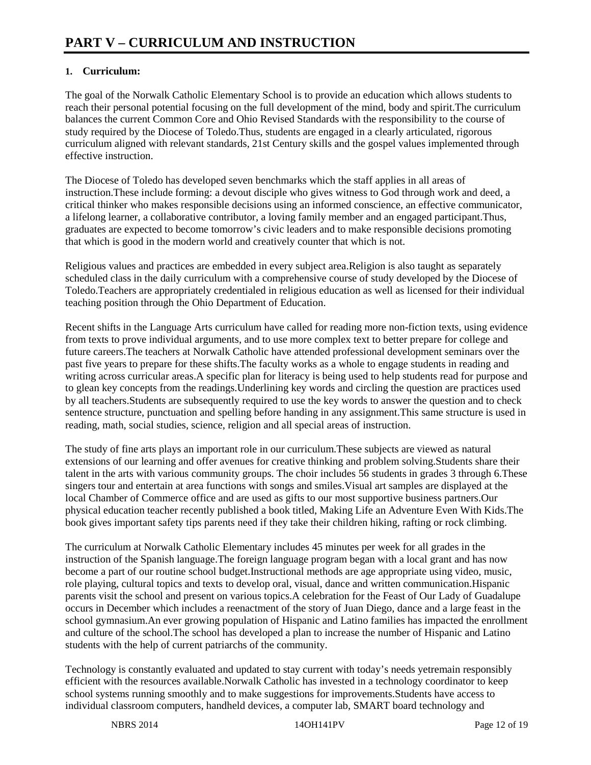### **1. Curriculum:**

The goal of the Norwalk Catholic Elementary School is to provide an education which allows students to reach their personal potential focusing on the full development of the mind, body and spirit.The curriculum balances the current Common Core and Ohio Revised Standards with the responsibility to the course of study required by the Diocese of Toledo.Thus, students are engaged in a clearly articulated, rigorous curriculum aligned with relevant standards, 21st Century skills and the gospel values implemented through effective instruction.

The Diocese of Toledo has developed seven benchmarks which the staff applies in all areas of instruction.These include forming: a devout disciple who gives witness to God through work and deed, a critical thinker who makes responsible decisions using an informed conscience, an effective communicator, a lifelong learner, a collaborative contributor, a loving family member and an engaged participant.Thus, graduates are expected to become tomorrow's civic leaders and to make responsible decisions promoting that which is good in the modern world and creatively counter that which is not.

Religious values and practices are embedded in every subject area.Religion is also taught as separately scheduled class in the daily curriculum with a comprehensive course of study developed by the Diocese of Toledo.Teachers are appropriately credentialed in religious education as well as licensed for their individual teaching position through the Ohio Department of Education.

Recent shifts in the Language Arts curriculum have called for reading more non-fiction texts, using evidence from texts to prove individual arguments, and to use more complex text to better prepare for college and future careers.The teachers at Norwalk Catholic have attended professional development seminars over the past five years to prepare for these shifts.The faculty works as a whole to engage students in reading and writing across curricular areas. A specific plan for literacy is being used to help students read for purpose and to glean key concepts from the readings.Underlining key words and circling the question are practices used by all teachers.Students are subsequently required to use the key words to answer the question and to check sentence structure, punctuation and spelling before handing in any assignment.This same structure is used in reading, math, social studies, science, religion and all special areas of instruction.

The study of fine arts plays an important role in our curriculum.These subjects are viewed as natural extensions of our learning and offer avenues for creative thinking and problem solving.Students share their talent in the arts with various community groups. The choir includes 56 students in grades 3 through 6.These singers tour and entertain at area functions with songs and smiles.Visual art samples are displayed at the local Chamber of Commerce office and are used as gifts to our most supportive business partners.Our physical education teacher recently published a book titled, Making Life an Adventure Even With Kids.The book gives important safety tips parents need if they take their children hiking, rafting or rock climbing.

The curriculum at Norwalk Catholic Elementary includes 45 minutes per week for all grades in the instruction of the Spanish language.The foreign language program began with a local grant and has now become a part of our routine school budget.Instructional methods are age appropriate using video, music, role playing, cultural topics and texts to develop oral, visual, dance and written communication.Hispanic parents visit the school and present on various topics.A celebration for the Feast of Our Lady of Guadalupe occurs in December which includes a reenactment of the story of Juan Diego, dance and a large feast in the school gymnasium.An ever growing population of Hispanic and Latino families has impacted the enrollment and culture of the school.The school has developed a plan to increase the number of Hispanic and Latino students with the help of current patriarchs of the community.

Technology is constantly evaluated and updated to stay current with today's needs yetremain responsibly efficient with the resources available.Norwalk Catholic has invested in a technology coordinator to keep school systems running smoothly and to make suggestions for improvements.Students have access to individual classroom computers, handheld devices, a computer lab, SMART board technology and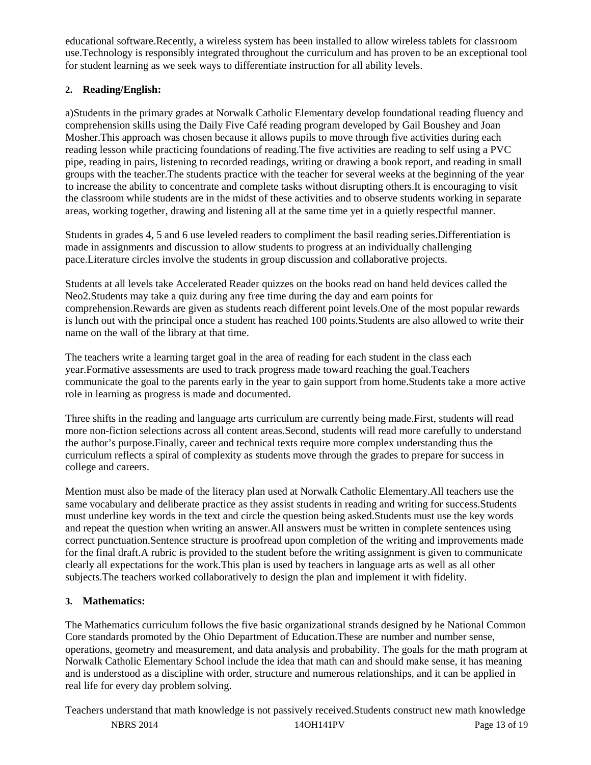educational software.Recently, a wireless system has been installed to allow wireless tablets for classroom use.Technology is responsibly integrated throughout the curriculum and has proven to be an exceptional tool for student learning as we seek ways to differentiate instruction for all ability levels.

### **2. Reading/English:**

a)Students in the primary grades at Norwalk Catholic Elementary develop foundational reading fluency and comprehension skills using the Daily Five Café reading program developed by Gail Boushey and Joan Mosher.This approach was chosen because it allows pupils to move through five activities during each reading lesson while practicing foundations of reading.The five activities are reading to self using a PVC pipe, reading in pairs, listening to recorded readings, writing or drawing a book report, and reading in small groups with the teacher.The students practice with the teacher for several weeks at the beginning of the year to increase the ability to concentrate and complete tasks without disrupting others.It is encouraging to visit the classroom while students are in the midst of these activities and to observe students working in separate areas, working together, drawing and listening all at the same time yet in a quietly respectful manner.

Students in grades 4, 5 and 6 use leveled readers to compliment the basil reading series.Differentiation is made in assignments and discussion to allow students to progress at an individually challenging pace.Literature circles involve the students in group discussion and collaborative projects.

Students at all levels take Accelerated Reader quizzes on the books read on hand held devices called the Neo2.Students may take a quiz during any free time during the day and earn points for comprehension.Rewards are given as students reach different point levels.One of the most popular rewards is lunch out with the principal once a student has reached 100 points.Students are also allowed to write their name on the wall of the library at that time.

The teachers write a learning target goal in the area of reading for each student in the class each year.Formative assessments are used to track progress made toward reaching the goal.Teachers communicate the goal to the parents early in the year to gain support from home.Students take a more active role in learning as progress is made and documented.

Three shifts in the reading and language arts curriculum are currently being made.First, students will read more non-fiction selections across all content areas.Second, students will read more carefully to understand the author's purpose.Finally, career and technical texts require more complex understanding thus the curriculum reflects a spiral of complexity as students move through the grades to prepare for success in college and careers.

Mention must also be made of the literacy plan used at Norwalk Catholic Elementary.All teachers use the same vocabulary and deliberate practice as they assist students in reading and writing for success.Students must underline key words in the text and circle the question being asked.Students must use the key words and repeat the question when writing an answer.All answers must be written in complete sentences using correct punctuation.Sentence structure is proofread upon completion of the writing and improvements made for the final draft.A rubric is provided to the student before the writing assignment is given to communicate clearly all expectations for the work.This plan is used by teachers in language arts as well as all other subjects.The teachers worked collaboratively to design the plan and implement it with fidelity.

#### **3. Mathematics:**

The Mathematics curriculum follows the five basic organizational strands designed by he National Common Core standards promoted by the Ohio Department of Education.These are number and number sense, operations, geometry and measurement, and data analysis and probability. The goals for the math program at Norwalk Catholic Elementary School include the idea that math can and should make sense, it has meaning and is understood as a discipline with order, structure and numerous relationships, and it can be applied in real life for every day problem solving.

NBRS 2014 140H141PV Page 13 of 19 Teachers understand that math knowledge is not passively received.Students construct new math knowledge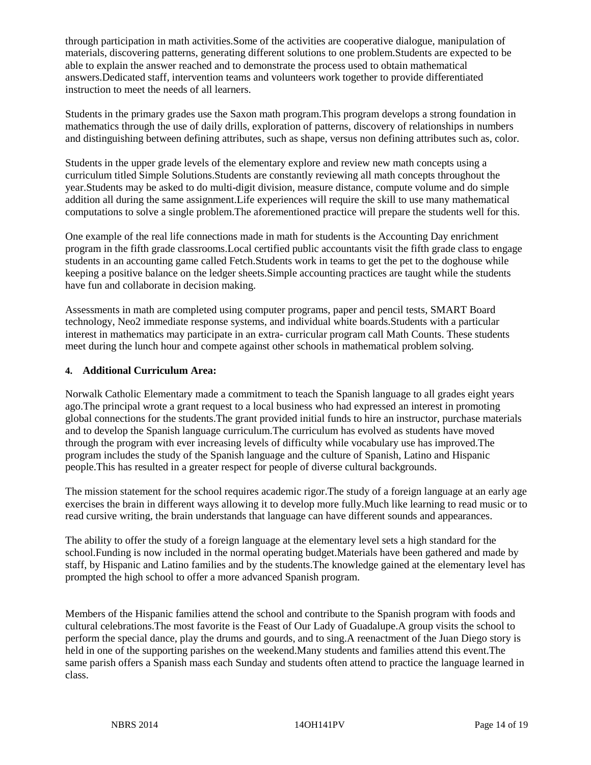through participation in math activities.Some of the activities are cooperative dialogue, manipulation of materials, discovering patterns, generating different solutions to one problem.Students are expected to be able to explain the answer reached and to demonstrate the process used to obtain mathematical answers.Dedicated staff, intervention teams and volunteers work together to provide differentiated instruction to meet the needs of all learners.

Students in the primary grades use the Saxon math program.This program develops a strong foundation in mathematics through the use of daily drills, exploration of patterns, discovery of relationships in numbers and distinguishing between defining attributes, such as shape, versus non defining attributes such as, color.

Students in the upper grade levels of the elementary explore and review new math concepts using a curriculum titled Simple Solutions.Students are constantly reviewing all math concepts throughout the year.Students may be asked to do multi-digit division, measure distance, compute volume and do simple addition all during the same assignment.Life experiences will require the skill to use many mathematical computations to solve a single problem.The aforementioned practice will prepare the students well for this.

One example of the real life connections made in math for students is the Accounting Day enrichment program in the fifth grade classrooms.Local certified public accountants visit the fifth grade class to engage students in an accounting game called Fetch.Students work in teams to get the pet to the doghouse while keeping a positive balance on the ledger sheets.Simple accounting practices are taught while the students have fun and collaborate in decision making.

Assessments in math are completed using computer programs, paper and pencil tests, SMART Board technology, Neo2 immediate response systems, and individual white boards.Students with a particular interest in mathematics may participate in an extra- curricular program call Math Counts. These students meet during the lunch hour and compete against other schools in mathematical problem solving.

#### **4. Additional Curriculum Area:**

Norwalk Catholic Elementary made a commitment to teach the Spanish language to all grades eight years ago.The principal wrote a grant request to a local business who had expressed an interest in promoting global connections for the students.The grant provided initial funds to hire an instructor, purchase materials and to develop the Spanish language curriculum.The curriculum has evolved as students have moved through the program with ever increasing levels of difficulty while vocabulary use has improved.The program includes the study of the Spanish language and the culture of Spanish, Latino and Hispanic people.This has resulted in a greater respect for people of diverse cultural backgrounds.

The mission statement for the school requires academic rigor.The study of a foreign language at an early age exercises the brain in different ways allowing it to develop more fully.Much like learning to read music or to read cursive writing, the brain understands that language can have different sounds and appearances.

The ability to offer the study of a foreign language at the elementary level sets a high standard for the school.Funding is now included in the normal operating budget.Materials have been gathered and made by staff, by Hispanic and Latino families and by the students.The knowledge gained at the elementary level has prompted the high school to offer a more advanced Spanish program.

Members of the Hispanic families attend the school and contribute to the Spanish program with foods and cultural celebrations.The most favorite is the Feast of Our Lady of Guadalupe.A group visits the school to perform the special dance, play the drums and gourds, and to sing.A reenactment of the Juan Diego story is held in one of the supporting parishes on the weekend.Many students and families attend this event.The same parish offers a Spanish mass each Sunday and students often attend to practice the language learned in class.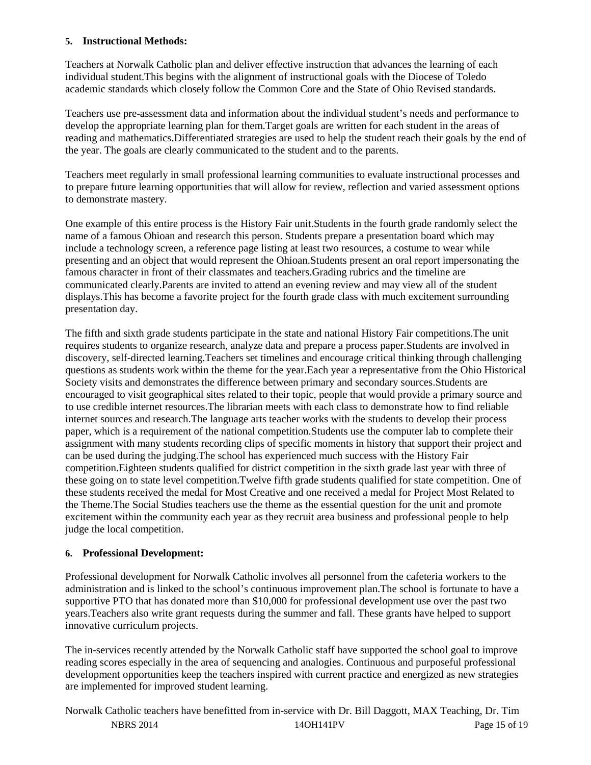#### **5. Instructional Methods:**

Teachers at Norwalk Catholic plan and deliver effective instruction that advances the learning of each individual student.This begins with the alignment of instructional goals with the Diocese of Toledo academic standards which closely follow the Common Core and the State of Ohio Revised standards.

Teachers use pre-assessment data and information about the individual student's needs and performance to develop the appropriate learning plan for them.Target goals are written for each student in the areas of reading and mathematics.Differentiated strategies are used to help the student reach their goals by the end of the year. The goals are clearly communicated to the student and to the parents.

Teachers meet regularly in small professional learning communities to evaluate instructional processes and to prepare future learning opportunities that will allow for review, reflection and varied assessment options to demonstrate mastery.

One example of this entire process is the History Fair unit.Students in the fourth grade randomly select the name of a famous Ohioan and research this person. Students prepare a presentation board which may include a technology screen, a reference page listing at least two resources, a costume to wear while presenting and an object that would represent the Ohioan.Students present an oral report impersonating the famous character in front of their classmates and teachers.Grading rubrics and the timeline are communicated clearly.Parents are invited to attend an evening review and may view all of the student displays.This has become a favorite project for the fourth grade class with much excitement surrounding presentation day.

The fifth and sixth grade students participate in the state and national History Fair competitions.The unit requires students to organize research, analyze data and prepare a process paper.Students are involved in discovery, self-directed learning.Teachers set timelines and encourage critical thinking through challenging questions as students work within the theme for the year.Each year a representative from the Ohio Historical Society visits and demonstrates the difference between primary and secondary sources.Students are encouraged to visit geographical sites related to their topic, people that would provide a primary source and to use credible internet resources.The librarian meets with each class to demonstrate how to find reliable internet sources and research.The language arts teacher works with the students to develop their process paper, which is a requirement of the national competition.Students use the computer lab to complete their assignment with many students recording clips of specific moments in history that support their project and can be used during the judging.The school has experienced much success with the History Fair competition.Eighteen students qualified for district competition in the sixth grade last year with three of these going on to state level competition.Twelve fifth grade students qualified for state competition. One of these students received the medal for Most Creative and one received a medal for Project Most Related to the Theme.The Social Studies teachers use the theme as the essential question for the unit and promote excitement within the community each year as they recruit area business and professional people to help judge the local competition.

#### **6. Professional Development:**

Professional development for Norwalk Catholic involves all personnel from the cafeteria workers to the administration and is linked to the school's continuous improvement plan.The school is fortunate to have a supportive PTO that has donated more than \$10,000 for professional development use over the past two years.Teachers also write grant requests during the summer and fall. These grants have helped to support innovative curriculum projects.

The in-services recently attended by the Norwalk Catholic staff have supported the school goal to improve reading scores especially in the area of sequencing and analogies. Continuous and purposeful professional development opportunities keep the teachers inspired with current practice and energized as new strategies are implemented for improved student learning.

NBRS 2014 140H141PV Page 15 of 19 Norwalk Catholic teachers have benefitted from in-service with Dr. Bill Daggott, MAX Teaching, Dr. Tim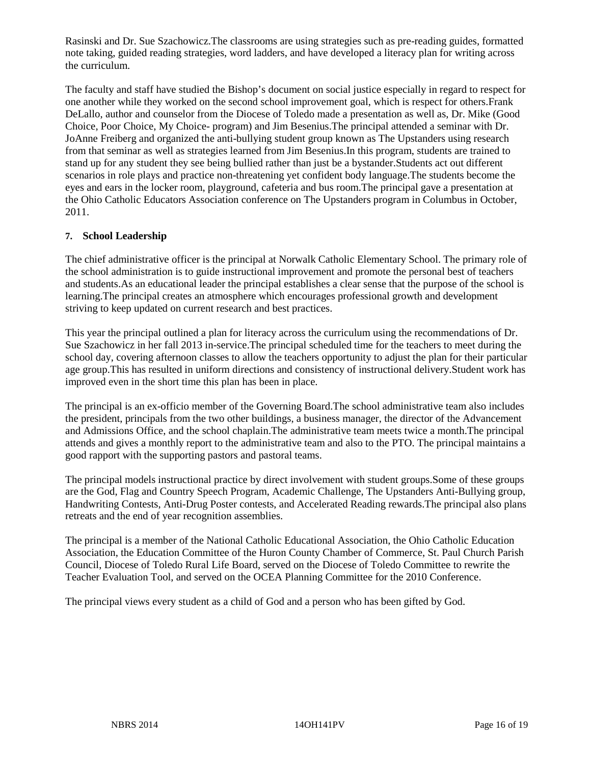Rasinski and Dr. Sue Szachowicz.The classrooms are using strategies such as pre-reading guides, formatted note taking, guided reading strategies, word ladders, and have developed a literacy plan for writing across the curriculum.

The faculty and staff have studied the Bishop's document on social justice especially in regard to respect for one another while they worked on the second school improvement goal, which is respect for others.Frank DeLallo, author and counselor from the Diocese of Toledo made a presentation as well as, Dr. Mike (Good Choice, Poor Choice, My Choice- program) and Jim Besenius.The principal attended a seminar with Dr. JoAnne Freiberg and organized the anti-bullying student group known as The Upstanders using research from that seminar as well as strategies learned from Jim Besenius.In this program, students are trained to stand up for any student they see being bullied rather than just be a bystander.Students act out different scenarios in role plays and practice non-threatening yet confident body language.The students become the eyes and ears in the locker room, playground, cafeteria and bus room.The principal gave a presentation at the Ohio Catholic Educators Association conference on The Upstanders program in Columbus in October, 2011.

#### **7. School Leadership**

The chief administrative officer is the principal at Norwalk Catholic Elementary School. The primary role of the school administration is to guide instructional improvement and promote the personal best of teachers and students.As an educational leader the principal establishes a clear sense that the purpose of the school is learning.The principal creates an atmosphere which encourages professional growth and development striving to keep updated on current research and best practices.

This year the principal outlined a plan for literacy across the curriculum using the recommendations of Dr. Sue Szachowicz in her fall 2013 in-service.The principal scheduled time for the teachers to meet during the school day, covering afternoon classes to allow the teachers opportunity to adjust the plan for their particular age group.This has resulted in uniform directions and consistency of instructional delivery.Student work has improved even in the short time this plan has been in place.

The principal is an ex-officio member of the Governing Board.The school administrative team also includes the president, principals from the two other buildings, a business manager, the director of the Advancement and Admissions Office, and the school chaplain.The administrative team meets twice a month.The principal attends and gives a monthly report to the administrative team and also to the PTO. The principal maintains a good rapport with the supporting pastors and pastoral teams.

The principal models instructional practice by direct involvement with student groups.Some of these groups are the God, Flag and Country Speech Program, Academic Challenge, The Upstanders Anti-Bullying group, Handwriting Contests, Anti-Drug Poster contests, and Accelerated Reading rewards.The principal also plans retreats and the end of year recognition assemblies.

The principal is a member of the National Catholic Educational Association, the Ohio Catholic Education Association, the Education Committee of the Huron County Chamber of Commerce, St. Paul Church Parish Council, Diocese of Toledo Rural Life Board, served on the Diocese of Toledo Committee to rewrite the Teacher Evaluation Tool, and served on the OCEA Planning Committee for the 2010 Conference.

The principal views every student as a child of God and a person who has been gifted by God.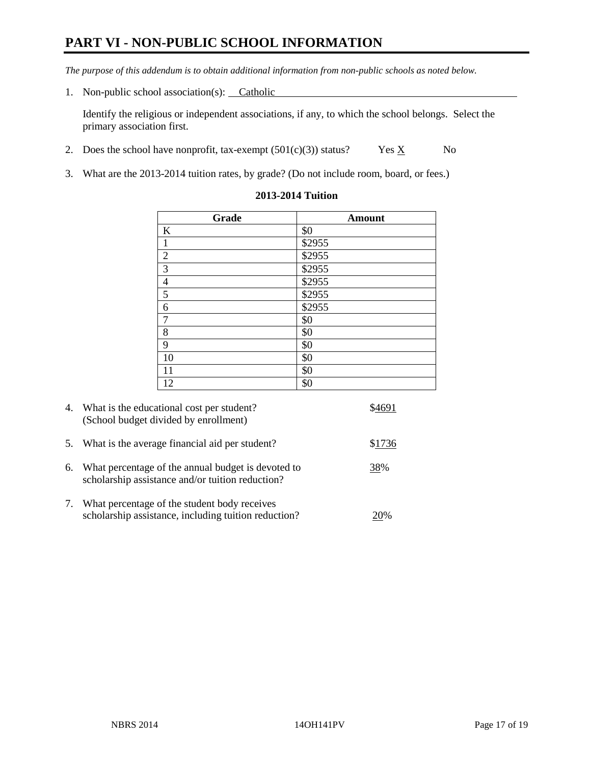## **PART VI - NON-PUBLIC SCHOOL INFORMATION**

*The purpose of this addendum is to obtain additional information from non-public schools as noted below.* 

1. Non-public school association(s): Catholic

Identify the religious or independent associations, if any, to which the school belongs. Select the primary association first.

- 2. Does the school have nonprofit, tax-exempt  $(501(c)(3))$  status? Yes  $\underline{X}$  No
- 3. What are the 2013-2014 tuition rates, by grade? (Do not include room, board, or fees.)

| Grade                   | <b>Amount</b> |
|-------------------------|---------------|
| $\bf K$                 | \$0           |
| $\mathbf{1}$            | \$2955        |
| $\overline{2}$          | \$2955        |
| $\overline{\mathbf{3}}$ | \$2955        |
| $\overline{4}$          | \$2955        |
| $\overline{5}$          | \$2955        |
| 6                       | \$2955        |
| $\overline{7}$          | \$0           |
| 8                       | \$0           |
| 9                       | \$0           |
| 10                      | \$0           |
| 11                      | \$0           |
| 12                      | \$0           |

#### **2013-2014 Tuition**

|    | 4. What is the educational cost per student?<br>(School budget divided by enrollment)                  |        |
|----|--------------------------------------------------------------------------------------------------------|--------|
|    | 5. What is the average financial aid per student?                                                      | \$1736 |
| 6. | What percentage of the annual budget is devoted to<br>scholarship assistance and/or tuition reduction? | 38%    |
|    | What percentage of the student body receives<br>scholarship assistance, including tuition reduction?   | 20%    |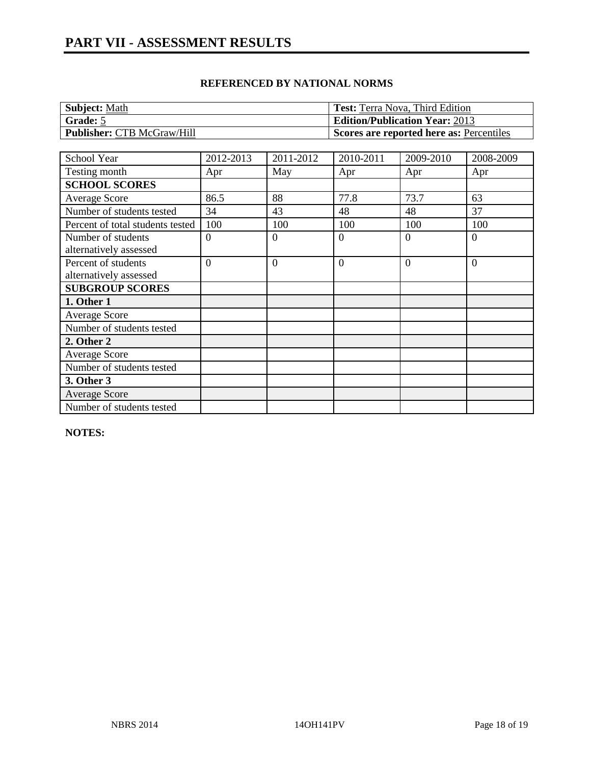#### **REFERENCED BY NATIONAL NORMS**

| Subject: Math                     | <b>Test:</b> Terra Nova, Third Edition   |
|-----------------------------------|------------------------------------------|
| <b>Grade:</b> 5                   | <b>Edition/Publication Year: 2013</b>    |
| <b>Publisher: CTB McGraw/Hill</b> | Scores are reported here as: Percentiles |

| School Year                      | 2012-2013      | 2011-2012 | 2010-2011      | 2009-2010 | 2008-2009      |
|----------------------------------|----------------|-----------|----------------|-----------|----------------|
| Testing month                    | Apr            | May       | Apr            | Apr       | Apr            |
| <b>SCHOOL SCORES</b>             |                |           |                |           |                |
| <b>Average Score</b>             | 86.5           | 88        | 77.8           | 73.7      | 63             |
| Number of students tested        | 34             | 43        | 48             | 48        | 37             |
| Percent of total students tested | 100            | 100       | 100            | 100       | 100            |
| Number of students               | $\overline{0}$ | $\Omega$  | $\theta$       | $\Omega$  | $\theta$       |
| alternatively assessed           |                |           |                |           |                |
| Percent of students              | $\theta$       | $\Omega$  | $\overline{0}$ | $\Omega$  | $\overline{0}$ |
| alternatively assessed           |                |           |                |           |                |
| <b>SUBGROUP SCORES</b>           |                |           |                |           |                |
| 1. Other 1                       |                |           |                |           |                |
| <b>Average Score</b>             |                |           |                |           |                |
| Number of students tested        |                |           |                |           |                |
| 2. Other 2                       |                |           |                |           |                |
| <b>Average Score</b>             |                |           |                |           |                |
| Number of students tested        |                |           |                |           |                |
| 3. Other 3                       |                |           |                |           |                |
| <b>Average Score</b>             |                |           |                |           |                |
| Number of students tested        |                |           |                |           |                |

**NOTES:**